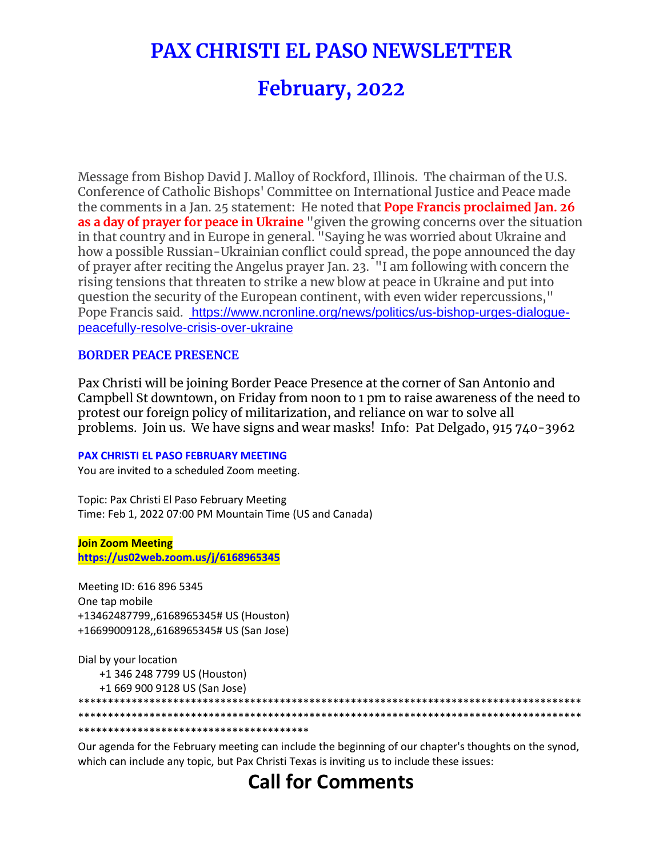# **PAX CHRISTI EL PASO NEWSLETTER**

# **February, 2022**

Message from Bishop David J. Malloy of Rockford, Illinois. The chairman of the U.S. Conference of Catholic Bishops' Committee on International Justice and Peace made the comments in a Jan. 25 statement: He noted that **Pope Francis proclaimed Jan. 26 as a day of prayer for peace in Ukraine** "given the growing concerns over the situation in that country and in Europe in general. "Saying he was worried about Ukraine and how a possible Russian-Ukrainian conflict could spread, the pope announced the day of prayer after reciting the Angelus prayer Jan. 23. "I am following with concern the rising tensions that threaten to strike a new blow at peace in Ukraine and put into question the security of the European continent, with even wider repercussions," Pope Francis said. [https://www.ncronline.org/news/politics/us-bishop-urges-dialogue](https://na01.safelinks.protection.outlook.com/?url=https%3A%2F%2Fwww.ncronline.org%2Fnews%2Fpolitics%2Fus-bishop-urges-dialogue-peacefully-resolve-crisis-over-ukraine&data=04%7C01%7C%7C9dc7c2f926aa4364980008d9e16b1d38%7C84df9e7fe9f640afb435aaaaaaaaaaaa%7C1%7C0%7C637788672440219694%7CUnknown%7CTWFpbGZsb3d8eyJWIjoiMC4wLjAwMDAiLCJQIjoiV2luMzIiLCJBTiI6Ik1haWwiLCJXVCI6Mn0%3D%7C3000&sdata=zxoQztJN4kuaKJbQowoonIYGKv6srw%2F0deNI6GNbuIs%3D&reserved=0)[peacefully-resolve-crisis-over-ukraine](https://na01.safelinks.protection.outlook.com/?url=https%3A%2F%2Fwww.ncronline.org%2Fnews%2Fpolitics%2Fus-bishop-urges-dialogue-peacefully-resolve-crisis-over-ukraine&data=04%7C01%7C%7C9dc7c2f926aa4364980008d9e16b1d38%7C84df9e7fe9f640afb435aaaaaaaaaaaa%7C1%7C0%7C637788672440219694%7CUnknown%7CTWFpbGZsb3d8eyJWIjoiMC4wLjAwMDAiLCJQIjoiV2luMzIiLCJBTiI6Ik1haWwiLCJXVCI6Mn0%3D%7C3000&sdata=zxoQztJN4kuaKJbQowoonIYGKv6srw%2F0deNI6GNbuIs%3D&reserved=0)

#### **BORDER PEACE PRESENCE**

Pax Christi will be joining Border Peace Presence at the corner of San Antonio and Campbell St downtown, on Friday from noon to 1 pm to raise awareness of the need to protest our foreign policy of militarization, and reliance on war to solve all problems. Join us. We have signs and wear masks! Info: Pat Delgado, 915 740-3962

#### **PAX CHRISTI EL PASO FEBRUARY MEETING**

You are invited to a scheduled Zoom meeting.

Topic: Pax Christi El Paso February Meeting Time: Feb 1, 2022 07:00 PM Mountain Time (US and Canada)

**Join Zoom Meeting [https://us02web.zoom.us/j/6168965345](https://na01.safelinks.protection.outlook.com/?url=https%3A%2F%2Fus02web.zoom.us%2Fj%2F6168965345&data=04%7C01%7C%7C9dc7c2f926aa4364980008d9e16b1d38%7C84df9e7fe9f640afb435aaaaaaaaaaaa%7C1%7C0%7C637788672440219694%7CUnknown%7CTWFpbGZsb3d8eyJWIjoiMC4wLjAwMDAiLCJQIjoiV2luMzIiLCJBTiI6Ik1haWwiLCJXVCI6Mn0%3D%7C3000&sdata=W95%2BBnKjkX7hyiQlglKEl%2BP1%2F4rPFP%2FlKTGU%2BA0qTME%3D&reserved=0)**

Meeting ID: 616 896 5345 One tap mobile +13462487799,,6168965345# US (Houston) +16699009128,,6168965345# US (San Jose)

Dial by your location

+1 346 248 7799 US (Houston)

+1 669 900 9128 US (San Jose)

\*\*\*\*\*\*\*\*\*\*\*\*\*\*\*\*\*\*\*\*\*\*\*\*\*\*\*\*\*\*\*\*\*\*\*\*\*\*\*\*\*\*\*\*\*\*\*\*\*\*\*\*\*\*\*\*\*\*\*\*\*\*\*\*\*\*\*\*\*\*\*\*\*\*\*\*\*\*\*\*\*\*\*\*\* \*\*\*\*\*\*\*\*\*\*\*\*\*\*\*\*\*\*\*\*\*\*\*\*\*\*\*\*\*\*\*\*\*\*\*\*\*\*\*\*\*\*\*\*\*\*\*\*\*\*\*\*\*\*\*\*\*\*\*\*\*\*\*\*\*\*\*\*\*\*\*\*\*\*\*\*\*\*\*\*\*\*\*\*\*

\*\*\*\*\*\*\*\*\*\*\*\*\*\*\*\*\*\*\*\*\*\*\*\*\*\*\*\*\*\*\*\*\*\*\*\*\*\*\*

Our agenda for the February meeting can include the beginning of our chapter's thoughts on the synod, which can include any topic, but Pax Christi Texas is inviting us to include these issues:

## **Call for Comments**